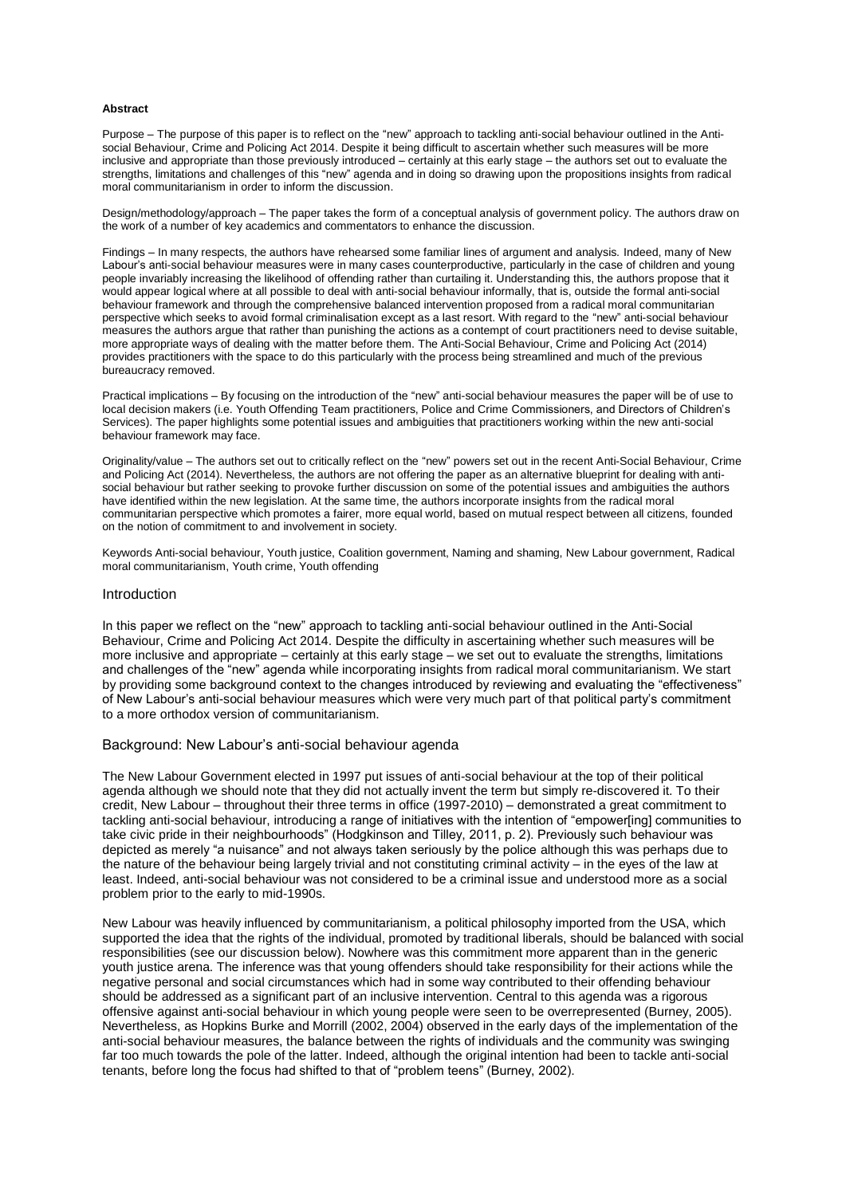#### **Abstract**

Purpose – The purpose of this paper is to reflect on the "new" approach to tackling anti-social behaviour outlined in the Antisocial Behaviour, Crime and Policing Act 2014. Despite it being difficult to ascertain whether such measures will be more inclusive and appropriate than those previously introduced – certainly at this early stage – the authors set out to evaluate the strengths, limitations and challenges of this "new" agenda and in doing so drawing upon the propositions insights from radical moral communitarianism in order to inform the discussion.

Design/methodology/approach – The paper takes the form of a conceptual analysis of government policy. The authors draw on the work of a number of key academics and commentators to enhance the discussion.

Findings – In many respects, the authors have rehearsed some familiar lines of argument and analysis. Indeed, many of New Labour's anti-social behaviour measures were in many cases counterproductive, particularly in the case of children and young people invariably increasing the likelihood of offending rather than curtailing it. Understanding this, the authors propose that it would appear logical where at all possible to deal with anti-social behaviour informally, that is, outside the formal anti-social behaviour framework and through the comprehensive balanced intervention proposed from a radical moral communitarian perspective which seeks to avoid formal criminalisation except as a last resort. With regard to the "new" anti-social behaviour measures the authors argue that rather than punishing the actions as a contempt of court practitioners need to devise suitable, more appropriate ways of dealing with the matter before them. The Anti-Social Behaviour, Crime and Policing Act (2014) provides practitioners with the space to do this particularly with the process being streamlined and much of the previous bureaucracy removed.

Practical implications – By focusing on the introduction of the "new" anti-social behaviour measures the paper will be of use to local decision makers (i.e. Youth Offending Team practitioners, Police and Crime Commissioners, and Directors of Children's Services). The paper highlights some potential issues and ambiguities that practitioners working within the new anti-social behaviour framework may face.

Originality/value – The authors set out to critically reflect on the "new" powers set out in the recent Anti-Social Behaviour, Crime and Policing Act (2014). Nevertheless, the authors are not offering the paper as an alternative blueprint for dealing with antisocial behaviour but rather seeking to provoke further discussion on some of the potential issues and ambiguities the authors have identified within the new legislation. At the same time, the authors incorporate insights from the radical moral communitarian perspective which promotes a fairer, more equal world, based on mutual respect between all citizens, founded on the notion of commitment to and involvement in society.

Keywords Anti-social behaviour, Youth justice, Coalition government, Naming and shaming, New Labour government, Radical moral communitarianism, Youth crime, Youth offending

#### Introduction

In this paper we reflect on the "new" approach to tackling anti-social behaviour outlined in the Anti-Social Behaviour, Crime and Policing Act 2014. Despite the difficulty in ascertaining whether such measures will be more inclusive and appropriate – certainly at this early stage – we set out to evaluate the strengths, limitations and challenges of the "new" agenda while incorporating insights from radical moral communitarianism. We start by providing some background context to the changes introduced by reviewing and evaluating the "effectiveness" of New Labour's anti-social behaviour measures which were very much part of that political party's commitment to a more orthodox version of communitarianism.

### Background: New Labour's anti-social behaviour agenda

The New Labour Government elected in 1997 put issues of anti-social behaviour at the top of their political agenda although we should note that they did not actually invent the term but simply re-discovered it. To their credit, New Labour – throughout their three terms in office (1997-2010) – demonstrated a great commitment to tackling anti-social behaviour, introducing a range of initiatives with the intention of "empower[ing] communities to take civic pride in their neighbourhoods" (Hodgkinson and Tilley, 2011, p. 2). Previously such behaviour was depicted as merely "a nuisance" and not always taken seriously by the police although this was perhaps due to the nature of the behaviour being largely trivial and not constituting criminal activity – in the eyes of the law at least. Indeed, anti-social behaviour was not considered to be a criminal issue and understood more as a social problem prior to the early to mid-1990s.

New Labour was heavily influenced by communitarianism, a political philosophy imported from the USA, which supported the idea that the rights of the individual, promoted by traditional liberals, should be balanced with social responsibilities (see our discussion below). Nowhere was this commitment more apparent than in the generic youth justice arena. The inference was that young offenders should take responsibility for their actions while the negative personal and social circumstances which had in some way contributed to their offending behaviour should be addressed as a significant part of an inclusive intervention. Central to this agenda was a rigorous offensive against anti-social behaviour in which young people were seen to be overrepresented (Burney, 2005). Nevertheless, as Hopkins Burke and Morrill (2002, 2004) observed in the early days of the implementation of the anti-social behaviour measures, the balance between the rights of individuals and the community was swinging far too much towards the pole of the latter. Indeed, although the original intention had been to tackle anti-social tenants, before long the focus had shifted to that of "problem teens" (Burney, 2002).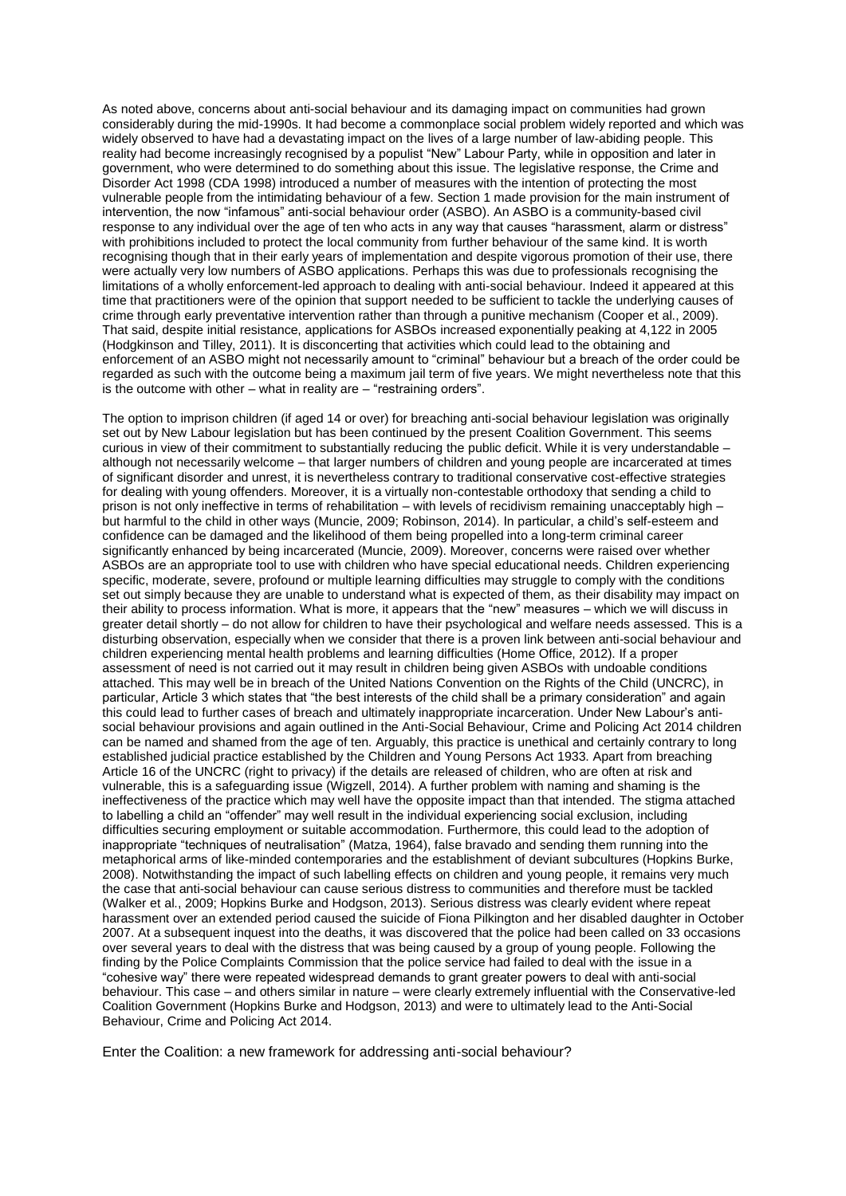As noted above, concerns about anti-social behaviour and its damaging impact on communities had grown considerably during the mid-1990s. It had become a commonplace social problem widely reported and which was widely observed to have had a devastating impact on the lives of a large number of law-abiding people. This reality had become increasingly recognised by a populist "New" Labour Party, while in opposition and later in government, who were determined to do something about this issue. The legislative response, the Crime and Disorder Act 1998 (CDA 1998) introduced a number of measures with the intention of protecting the most vulnerable people from the intimidating behaviour of a few. Section 1 made provision for the main instrument of intervention, the now "infamous" anti-social behaviour order (ASBO). An ASBO is a community-based civil response to any individual over the age of ten who acts in any way that causes "harassment, alarm or distress" with prohibitions included to protect the local community from further behaviour of the same kind. It is worth recognising though that in their early years of implementation and despite vigorous promotion of their use, there were actually very low numbers of ASBO applications. Perhaps this was due to professionals recognising the limitations of a wholly enforcement-led approach to dealing with anti-social behaviour. Indeed it appeared at this time that practitioners were of the opinion that support needed to be sufficient to tackle the underlying causes of crime through early preventative intervention rather than through a punitive mechanism (Cooper et al., 2009). That said, despite initial resistance, applications for ASBOs increased exponentially peaking at 4,122 in 2005 (Hodgkinson and Tilley, 2011). It is disconcerting that activities which could lead to the obtaining and enforcement of an ASBO might not necessarily amount to "criminal" behaviour but a breach of the order could be regarded as such with the outcome being a maximum jail term of five years. We might nevertheless note that this is the outcome with other – what in reality are – "restraining orders".

The option to imprison children (if aged 14 or over) for breaching anti-social behaviour legislation was originally set out by New Labour legislation but has been continued by the present Coalition Government. This seems curious in view of their commitment to substantially reducing the public deficit. While it is very understandable – although not necessarily welcome – that larger numbers of children and young people are incarcerated at times of significant disorder and unrest, it is nevertheless contrary to traditional conservative cost-effective strategies for dealing with young offenders. Moreover, it is a virtually non-contestable orthodoxy that sending a child to prison is not only ineffective in terms of rehabilitation – with levels of recidivism remaining unacceptably high – but harmful to the child in other ways (Muncie, 2009; Robinson, 2014). In particular, a child's self-esteem and confidence can be damaged and the likelihood of them being propelled into a long-term criminal career significantly enhanced by being incarcerated (Muncie, 2009). Moreover, concerns were raised over whether ASBOs are an appropriate tool to use with children who have special educational needs. Children experiencing specific, moderate, severe, profound or multiple learning difficulties may struggle to comply with the conditions set out simply because they are unable to understand what is expected of them, as their disability may impact on their ability to process information. What is more, it appears that the "new" measures – which we will discuss in greater detail shortly – do not allow for children to have their psychological and welfare needs assessed. This is a disturbing observation, especially when we consider that there is a proven link between anti-social behaviour and children experiencing mental health problems and learning difficulties (Home Office, 2012). If a proper assessment of need is not carried out it may result in children being given ASBOs with undoable conditions attached. This may well be in breach of the United Nations Convention on the Rights of the Child (UNCRC), in particular, Article 3 which states that "the best interests of the child shall be a primary consideration" and again this could lead to further cases of breach and ultimately inappropriate incarceration. Under New Labour's antisocial behaviour provisions and again outlined in the Anti-Social Behaviour, Crime and Policing Act 2014 children can be named and shamed from the age of ten. Arguably, this practice is unethical and certainly contrary to long established judicial practice established by the Children and Young Persons Act 1933. Apart from breaching Article 16 of the UNCRC (right to privacy) if the details are released of children, who are often at risk and vulnerable, this is a safeguarding issue (Wigzell, 2014). A further problem with naming and shaming is the ineffectiveness of the practice which may well have the opposite impact than that intended. The stigma attached to labelling a child an "offender" may well result in the individual experiencing social exclusion, including difficulties securing employment or suitable accommodation. Furthermore, this could lead to the adoption of inappropriate "techniques of neutralisation" (Matza, 1964), false bravado and sending them running into the metaphorical arms of like-minded contemporaries and the establishment of deviant subcultures (Hopkins Burke, 2008). Notwithstanding the impact of such labelling effects on children and young people, it remains very much the case that anti-social behaviour can cause serious distress to communities and therefore must be tackled (Walker et al., 2009; Hopkins Burke and Hodgson, 2013). Serious distress was clearly evident where repeat harassment over an extended period caused the suicide of Fiona Pilkington and her disabled daughter in October 2007. At a subsequent inquest into the deaths, it was discovered that the police had been called on 33 occasions over several years to deal with the distress that was being caused by a group of young people. Following the finding by the Police Complaints Commission that the police service had failed to deal with the issue in a "cohesive way" there were repeated widespread demands to grant greater powers to deal with anti-social behaviour. This case – and others similar in nature – were clearly extremely influential with the Conservative-led Coalition Government (Hopkins Burke and Hodgson, 2013) and were to ultimately lead to the Anti-Social Behaviour, Crime and Policing Act 2014.

Enter the Coalition: a new framework for addressing anti-social behaviour?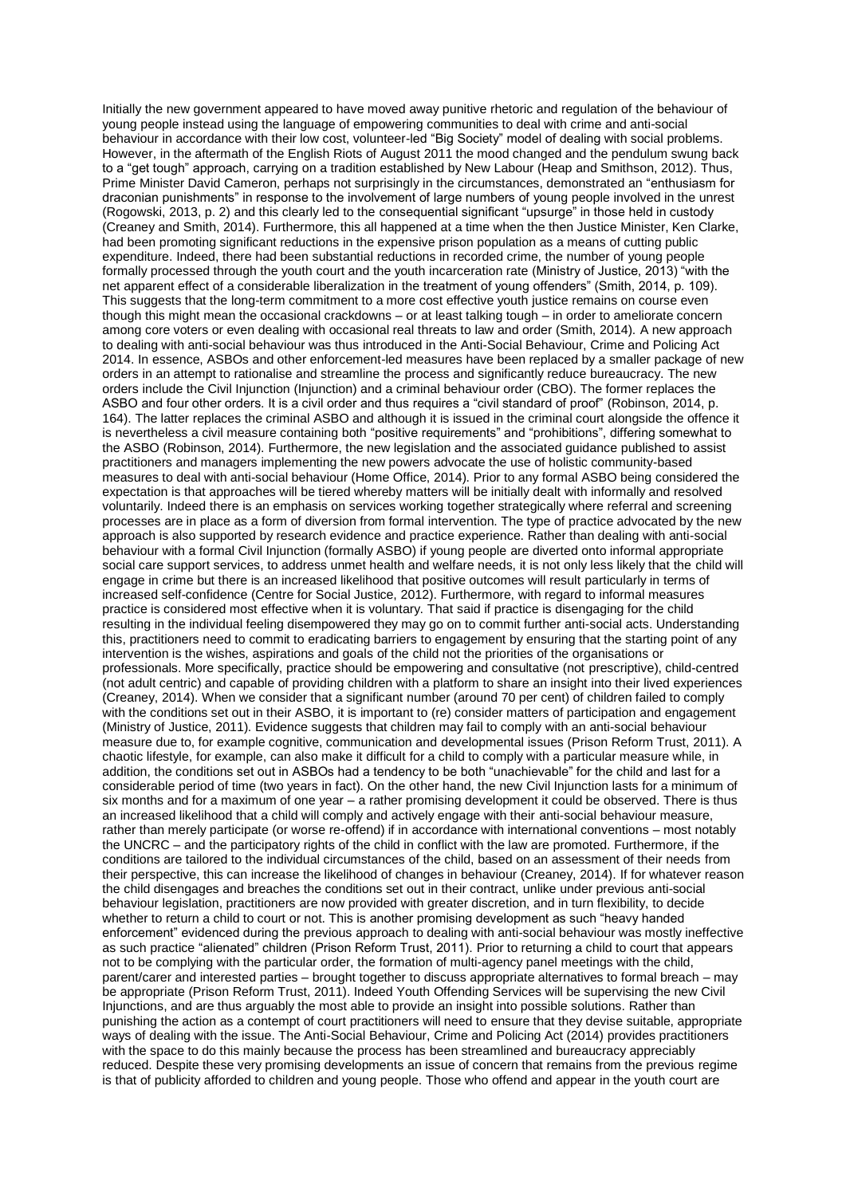Initially the new government appeared to have moved away punitive rhetoric and regulation of the behaviour of young people instead using the language of empowering communities to deal with crime and anti-social behaviour in accordance with their low cost, volunteer-led "Big Society" model of dealing with social problems. However, in the aftermath of the English Riots of August 2011 the mood changed and the pendulum swung back to a "get tough" approach, carrying on a tradition established by New Labour (Heap and Smithson, 2012). Thus, Prime Minister David Cameron, perhaps not surprisingly in the circumstances, demonstrated an "enthusiasm for draconian punishments" in response to the involvement of large numbers of young people involved in the unrest (Rogowski, 2013, p. 2) and this clearly led to the consequential significant "upsurge" in those held in custody (Creaney and Smith, 2014). Furthermore, this all happened at a time when the then Justice Minister, Ken Clarke, had been promoting significant reductions in the expensive prison population as a means of cutting public expenditure. Indeed, there had been substantial reductions in recorded crime, the number of young people formally processed through the youth court and the youth incarceration rate (Ministry of Justice, 2013) "with the net apparent effect of a considerable liberalization in the treatment of young offenders" (Smith, 2014, p. 109). This suggests that the long-term commitment to a more cost effective youth justice remains on course even though this might mean the occasional crackdowns – or at least talking tough – in order to ameliorate concern among core voters or even dealing with occasional real threats to law and order (Smith, 2014). A new approach to dealing with anti-social behaviour was thus introduced in the Anti-Social Behaviour, Crime and Policing Act 2014. In essence, ASBOs and other enforcement-led measures have been replaced by a smaller package of new orders in an attempt to rationalise and streamline the process and significantly reduce bureaucracy. The new orders include the Civil Injunction (Injunction) and a criminal behaviour order (CBO). The former replaces the ASBO and four other orders. It is a civil order and thus requires a "civil standard of proof" (Robinson, 2014, p. 164). The latter replaces the criminal ASBO and although it is issued in the criminal court alongside the offence it is nevertheless a civil measure containing both "positive requirements" and "prohibitions", differing somewhat to the ASBO (Robinson, 2014). Furthermore, the new legislation and the associated guidance published to assist practitioners and managers implementing the new powers advocate the use of holistic community-based measures to deal with anti-social behaviour (Home Office, 2014). Prior to any formal ASBO being considered the expectation is that approaches will be tiered whereby matters will be initially dealt with informally and resolved voluntarily. Indeed there is an emphasis on services working together strategically where referral and screening processes are in place as a form of diversion from formal intervention. The type of practice advocated by the new approach is also supported by research evidence and practice experience. Rather than dealing with anti-social behaviour with a formal Civil Injunction (formally ASBO) if young people are diverted onto informal appropriate social care support services, to address unmet health and welfare needs, it is not only less likely that the child will engage in crime but there is an increased likelihood that positive outcomes will result particularly in terms of increased self-confidence (Centre for Social Justice, 2012). Furthermore, with regard to informal measures practice is considered most effective when it is voluntary. That said if practice is disengaging for the child resulting in the individual feeling disempowered they may go on to commit further anti-social acts. Understanding this, practitioners need to commit to eradicating barriers to engagement by ensuring that the starting point of any intervention is the wishes, aspirations and goals of the child not the priorities of the organisations or professionals. More specifically, practice should be empowering and consultative (not prescriptive), child-centred (not adult centric) and capable of providing children with a platform to share an insight into their lived experiences (Creaney, 2014). When we consider that a significant number (around 70 per cent) of children failed to comply with the conditions set out in their ASBO, it is important to (re) consider matters of participation and engagement (Ministry of Justice, 2011). Evidence suggests that children may fail to comply with an anti-social behaviour measure due to, for example cognitive, communication and developmental issues (Prison Reform Trust, 2011). A chaotic lifestyle, for example, can also make it difficult for a child to comply with a particular measure while, in addition, the conditions set out in ASBOs had a tendency to be both "unachievable" for the child and last for a considerable period of time (two years in fact). On the other hand, the new Civil Injunction lasts for a minimum of six months and for a maximum of one year – a rather promising development it could be observed. There is thus an increased likelihood that a child will comply and actively engage with their anti-social behaviour measure, rather than merely participate (or worse re-offend) if in accordance with international conventions – most notably the UNCRC – and the participatory rights of the child in conflict with the law are promoted. Furthermore, if the conditions are tailored to the individual circumstances of the child, based on an assessment of their needs from their perspective, this can increase the likelihood of changes in behaviour (Creaney, 2014). If for whatever reason the child disengages and breaches the conditions set out in their contract, unlike under previous anti-social behaviour legislation, practitioners are now provided with greater discretion, and in turn flexibility, to decide whether to return a child to court or not. This is another promising development as such "heavy handed enforcement" evidenced during the previous approach to dealing with anti-social behaviour was mostly ineffective as such practice "alienated" children (Prison Reform Trust, 2011). Prior to returning a child to court that appears not to be complying with the particular order, the formation of multi-agency panel meetings with the child, parent/carer and interested parties – brought together to discuss appropriate alternatives to formal breach – may be appropriate (Prison Reform Trust, 2011). Indeed Youth Offending Services will be supervising the new Civil Injunctions, and are thus arguably the most able to provide an insight into possible solutions. Rather than punishing the action as a contempt of court practitioners will need to ensure that they devise suitable, appropriate ways of dealing with the issue. The Anti-Social Behaviour, Crime and Policing Act (2014) provides practitioners with the space to do this mainly because the process has been streamlined and bureaucracy appreciably reduced. Despite these very promising developments an issue of concern that remains from the previous regime is that of publicity afforded to children and young people. Those who offend and appear in the youth court are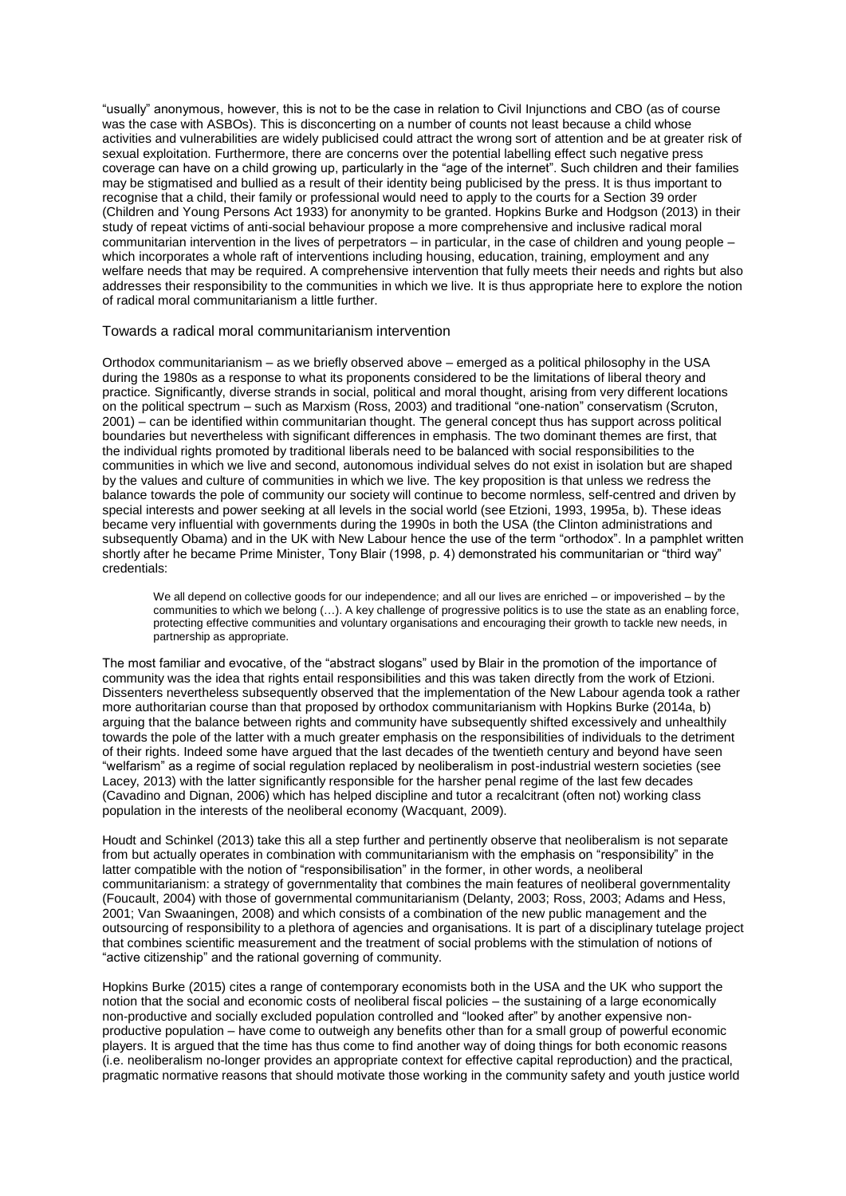"usually" anonymous, however, this is not to be the case in relation to Civil Injunctions and CBO (as of course was the case with ASBOs). This is disconcerting on a number of counts not least because a child whose activities and vulnerabilities are widely publicised could attract the wrong sort of attention and be at greater risk of sexual exploitation. Furthermore, there are concerns over the potential labelling effect such negative press coverage can have on a child growing up, particularly in the "age of the internet". Such children and their families may be stigmatised and bullied as a result of their identity being publicised by the press. It is thus important to recognise that a child, their family or professional would need to apply to the courts for a Section 39 order (Children and Young Persons Act 1933) for anonymity to be granted. Hopkins Burke and Hodgson (2013) in their study of repeat victims of anti-social behaviour propose a more comprehensive and inclusive radical moral communitarian intervention in the lives of perpetrators – in particular, in the case of children and young people – which incorporates a whole raft of interventions including housing, education, training, employment and any welfare needs that may be required. A comprehensive intervention that fully meets their needs and rights but also addresses their responsibility to the communities in which we live. It is thus appropriate here to explore the notion of radical moral communitarianism a little further.

### Towards a radical moral communitarianism intervention

Orthodox communitarianism – as we briefly observed above – emerged as a political philosophy in the USA during the 1980s as a response to what its proponents considered to be the limitations of liberal theory and practice. Significantly, diverse strands in social, political and moral thought, arising from very different locations on the political spectrum – such as Marxism (Ross, 2003) and traditional "one-nation" conservatism (Scruton, 2001) – can be identified within communitarian thought. The general concept thus has support across political boundaries but nevertheless with significant differences in emphasis. The two dominant themes are first, that the individual rights promoted by traditional liberals need to be balanced with social responsibilities to the communities in which we live and second, autonomous individual selves do not exist in isolation but are shaped by the values and culture of communities in which we live. The key proposition is that unless we redress the balance towards the pole of community our society will continue to become normless, self-centred and driven by special interests and power seeking at all levels in the social world (see Etzioni, 1993, 1995a, b). These ideas became very influential with governments during the 1990s in both the USA (the Clinton administrations and subsequently Obama) and in the UK with New Labour hence the use of the term "orthodox". In a pamphlet written shortly after he became Prime Minister, Tony Blair (1998, p. 4) demonstrated his communitarian or "third way" credentials:

We all depend on collective goods for our independence; and all our lives are enriched – or impoverished – by the communities to which we belong (…). A key challenge of progressive politics is to use the state as an enabling force, protecting effective communities and voluntary organisations and encouraging their growth to tackle new needs, in partnership as appropriate.

The most familiar and evocative, of the "abstract slogans" used by Blair in the promotion of the importance of community was the idea that rights entail responsibilities and this was taken directly from the work of Etzioni. Dissenters nevertheless subsequently observed that the implementation of the New Labour agenda took a rather more authoritarian course than that proposed by orthodox communitarianism with Hopkins Burke (2014a, b) arguing that the balance between rights and community have subsequently shifted excessively and unhealthily towards the pole of the latter with a much greater emphasis on the responsibilities of individuals to the detriment of their rights. Indeed some have argued that the last decades of the twentieth century and beyond have seen "welfarism" as a regime of social regulation replaced by neoliberalism in post-industrial western societies (see Lacey, 2013) with the latter significantly responsible for the harsher penal regime of the last few decades (Cavadino and Dignan, 2006) which has helped discipline and tutor a recalcitrant (often not) working class population in the interests of the neoliberal economy (Wacquant, 2009).

Houdt and Schinkel (2013) take this all a step further and pertinently observe that neoliberalism is not separate from but actually operates in combination with communitarianism with the emphasis on "responsibility" in the latter compatible with the notion of "responsibilisation" in the former, in other words, a neoliberal communitarianism: a strategy of governmentality that combines the main features of neoliberal governmentality (Foucault, 2004) with those of governmental communitarianism (Delanty, 2003; Ross, 2003; Adams and Hess, 2001; Van Swaaningen, 2008) and which consists of a combination of the new public management and the outsourcing of responsibility to a plethora of agencies and organisations. It is part of a disciplinary tutelage project that combines scientific measurement and the treatment of social problems with the stimulation of notions of "active citizenship" and the rational governing of community.

Hopkins Burke (2015) cites a range of contemporary economists both in the USA and the UK who support the notion that the social and economic costs of neoliberal fiscal policies – the sustaining of a large economically non-productive and socially excluded population controlled and "looked after" by another expensive nonproductive population – have come to outweigh any benefits other than for a small group of powerful economic players. It is argued that the time has thus come to find another way of doing things for both economic reasons (i.e. neoliberalism no-longer provides an appropriate context for effective capital reproduction) and the practical, pragmatic normative reasons that should motivate those working in the community safety and youth justice world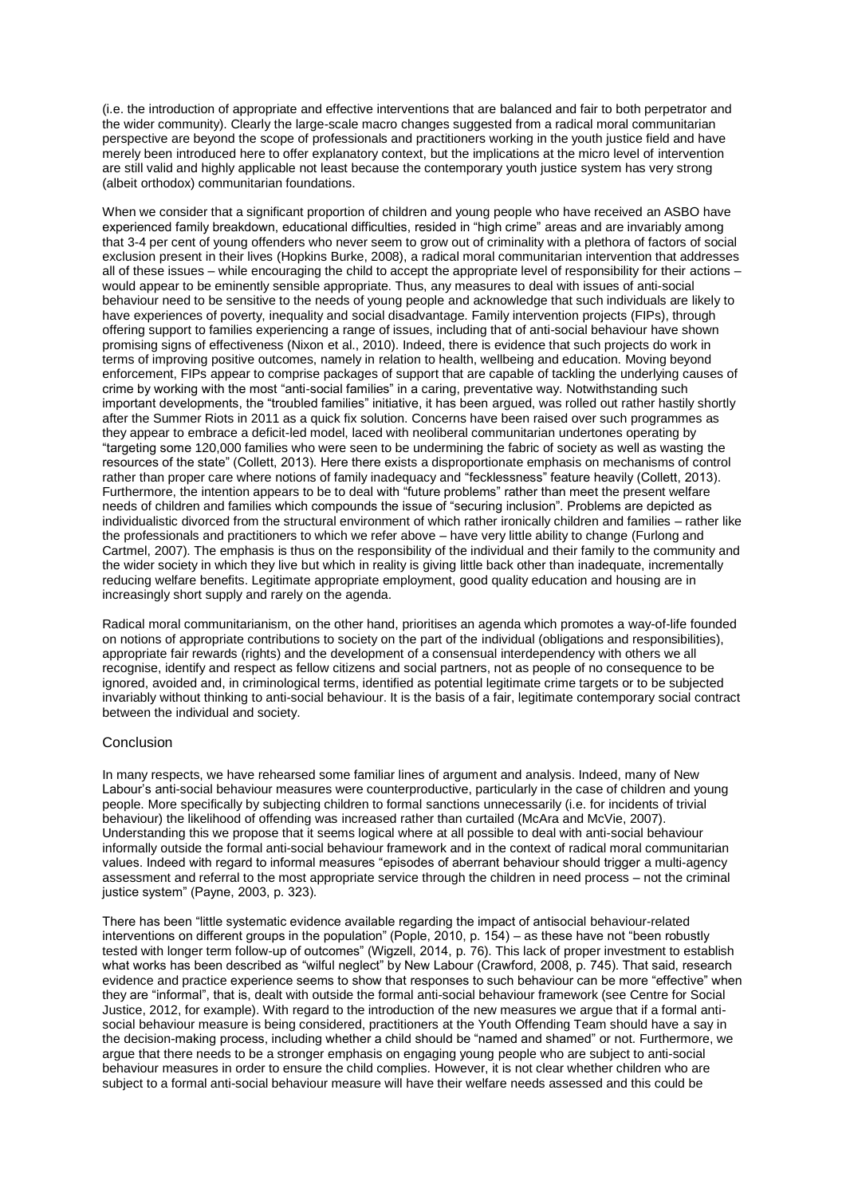(i.e. the introduction of appropriate and effective interventions that are balanced and fair to both perpetrator and the wider community). Clearly the large-scale macro changes suggested from a radical moral communitarian perspective are beyond the scope of professionals and practitioners working in the youth justice field and have merely been introduced here to offer explanatory context, but the implications at the micro level of intervention are still valid and highly applicable not least because the contemporary youth justice system has very strong (albeit orthodox) communitarian foundations.

When we consider that a significant proportion of children and young people who have received an ASBO have experienced family breakdown, educational difficulties, resided in "high crime" areas and are invariably among that 3-4 per cent of young offenders who never seem to grow out of criminality with a plethora of factors of social exclusion present in their lives (Hopkins Burke, 2008), a radical moral communitarian intervention that addresses all of these issues – while encouraging the child to accept the appropriate level of responsibility for their actions – would appear to be eminently sensible appropriate. Thus, any measures to deal with issues of anti-social behaviour need to be sensitive to the needs of young people and acknowledge that such individuals are likely to have experiences of poverty, inequality and social disadvantage. Family intervention projects (FIPs), through offering support to families experiencing a range of issues, including that of anti-social behaviour have shown promising signs of effectiveness (Nixon et al., 2010). Indeed, there is evidence that such projects do work in terms of improving positive outcomes, namely in relation to health, wellbeing and education. Moving beyond enforcement, FIPs appear to comprise packages of support that are capable of tackling the underlying causes of crime by working with the most "anti-social families" in a caring, preventative way. Notwithstanding such important developments, the "troubled families" initiative, it has been argued, was rolled out rather hastily shortly after the Summer Riots in 2011 as a quick fix solution. Concerns have been raised over such programmes as they appear to embrace a deficit-led model, laced with neoliberal communitarian undertones operating by "targeting some 120,000 families who were seen to be undermining the fabric of society as well as wasting the resources of the state" (Collett, 2013). Here there exists a disproportionate emphasis on mechanisms of control rather than proper care where notions of family inadequacy and "fecklessness" feature heavily (Collett, 2013). Furthermore, the intention appears to be to deal with "future problems" rather than meet the present welfare needs of children and families which compounds the issue of "securing inclusion". Problems are depicted as individualistic divorced from the structural environment of which rather ironically children and families – rather like the professionals and practitioners to which we refer above – have very little ability to change (Furlong and Cartmel, 2007). The emphasis is thus on the responsibility of the individual and their family to the community and the wider society in which they live but which in reality is giving little back other than inadequate, incrementally reducing welfare benefits. Legitimate appropriate employment, good quality education and housing are in increasingly short supply and rarely on the agenda.

Radical moral communitarianism, on the other hand, prioritises an agenda which promotes a way-of-life founded on notions of appropriate contributions to society on the part of the individual (obligations and responsibilities), appropriate fair rewards (rights) and the development of a consensual interdependency with others we all recognise, identify and respect as fellow citizens and social partners, not as people of no consequence to be ignored, avoided and, in criminological terms, identified as potential legitimate crime targets or to be subjected invariably without thinking to anti-social behaviour. It is the basis of a fair, legitimate contemporary social contract between the individual and society.

### Conclusion

In many respects, we have rehearsed some familiar lines of argument and analysis. Indeed, many of New Labour's anti-social behaviour measures were counterproductive, particularly in the case of children and young people. More specifically by subjecting children to formal sanctions unnecessarily (i.e. for incidents of trivial behaviour) the likelihood of offending was increased rather than curtailed (McAra and McVie, 2007). Understanding this we propose that it seems logical where at all possible to deal with anti-social behaviour informally outside the formal anti-social behaviour framework and in the context of radical moral communitarian values. Indeed with regard to informal measures "episodes of aberrant behaviour should trigger a multi-agency assessment and referral to the most appropriate service through the children in need process – not the criminal justice system" (Payne, 2003, p. 323).

There has been "little systematic evidence available regarding the impact of antisocial behaviour-related interventions on different groups in the population" (Pople, 2010, p. 154) – as these have not "been robustly tested with longer term follow-up of outcomes" (Wigzell, 2014, p. 76). This lack of proper investment to establish what works has been described as "wilful neglect" by New Labour (Crawford, 2008, p. 745). That said, research evidence and practice experience seems to show that responses to such behaviour can be more "effective" when they are "informal", that is, dealt with outside the formal anti-social behaviour framework (see Centre for Social Justice, 2012, for example). With regard to the introduction of the new measures we argue that if a formal antisocial behaviour measure is being considered, practitioners at the Youth Offending Team should have a say in the decision-making process, including whether a child should be "named and shamed" or not. Furthermore, we argue that there needs to be a stronger emphasis on engaging young people who are subject to anti-social behaviour measures in order to ensure the child complies. However, it is not clear whether children who are subject to a formal anti-social behaviour measure will have their welfare needs assessed and this could be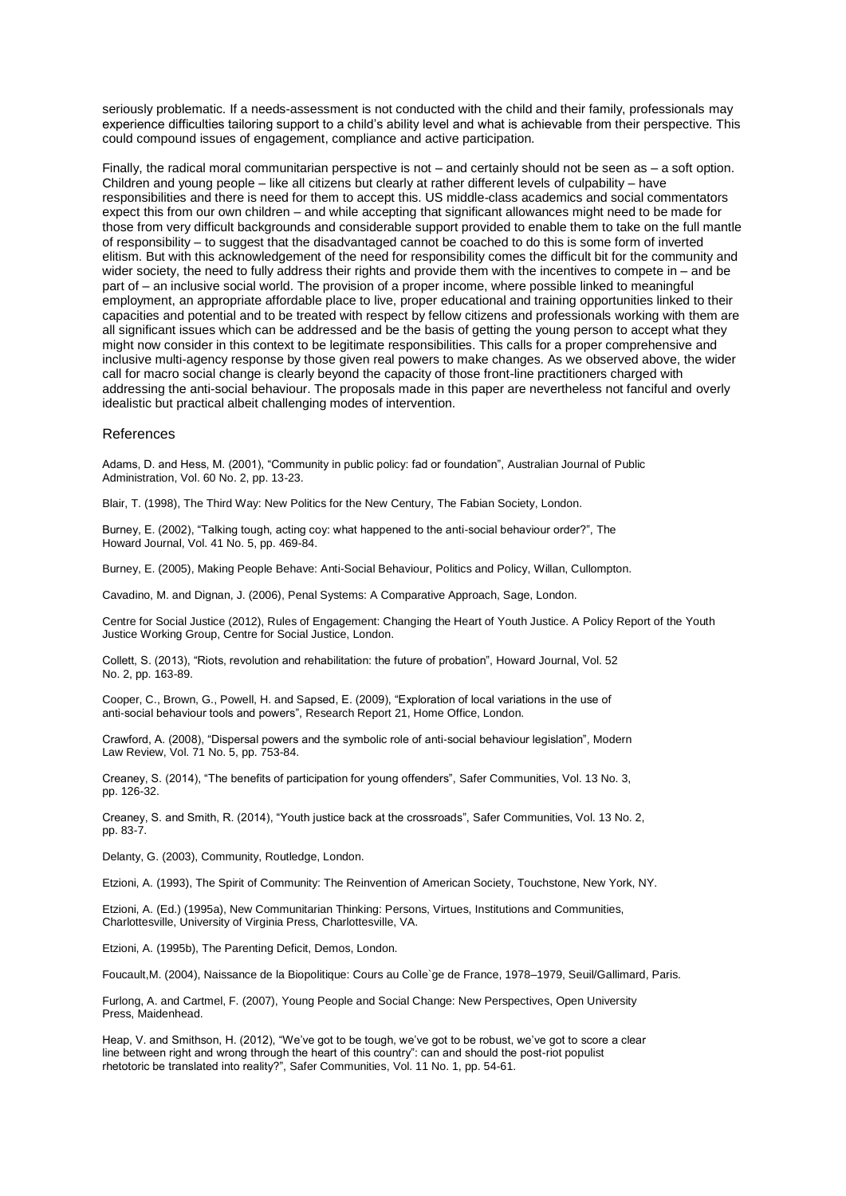seriously problematic. If a needs-assessment is not conducted with the child and their family, professionals may experience difficulties tailoring support to a child's ability level and what is achievable from their perspective. This could compound issues of engagement, compliance and active participation.

Finally, the radical moral communitarian perspective is not – and certainly should not be seen as – a soft option. Children and young people – like all citizens but clearly at rather different levels of culpability – have responsibilities and there is need for them to accept this. US middle-class academics and social commentators expect this from our own children – and while accepting that significant allowances might need to be made for those from very difficult backgrounds and considerable support provided to enable them to take on the full mantle of responsibility – to suggest that the disadvantaged cannot be coached to do this is some form of inverted elitism. But with this acknowledgement of the need for responsibility comes the difficult bit for the community and wider society, the need to fully address their rights and provide them with the incentives to compete in – and be part of – an inclusive social world. The provision of a proper income, where possible linked to meaningful employment, an appropriate affordable place to live, proper educational and training opportunities linked to their capacities and potential and to be treated with respect by fellow citizens and professionals working with them are all significant issues which can be addressed and be the basis of getting the young person to accept what they might now consider in this context to be legitimate responsibilities. This calls for a proper comprehensive and inclusive multi-agency response by those given real powers to make changes. As we observed above, the wider call for macro social change is clearly beyond the capacity of those front-line practitioners charged with addressing the anti-social behaviour. The proposals made in this paper are nevertheless not fanciful and overly idealistic but practical albeit challenging modes of intervention.

### References

Adams, D. and Hess, M. (2001), "Community in public policy: fad or foundation", Australian Journal of Public Administration, Vol. 60 No. 2, pp. 13-23.

Blair, T. (1998), The Third Way: New Politics for the New Century, The Fabian Society, London.

Burney, E. (2002), "Talking tough, acting coy: what happened to the anti-social behaviour order?", The Howard Journal, Vol. 41 No. 5, pp. 469-84.

Burney, E. (2005), Making People Behave: Anti-Social Behaviour, Politics and Policy, Willan, Cullompton.

Cavadino, M. and Dignan, J. (2006), Penal Systems: A Comparative Approach, Sage, London.

Centre for Social Justice (2012), Rules of Engagement: Changing the Heart of Youth Justice. A Policy Report of the Youth Justice Working Group, Centre for Social Justice, London.

Collett, S. (2013), "Riots, revolution and rehabilitation: the future of probation", Howard Journal, Vol. 52 No. 2, pp. 163-89.

Cooper, C., Brown, G., Powell, H. and Sapsed, E. (2009), "Exploration of local variations in the use of anti-social behaviour tools and powers", Research Report 21, Home Office, London.

Crawford, A. (2008), "Dispersal powers and the symbolic role of anti-social behaviour legislation", Modern Law Review, Vol. 71 No. 5, pp. 753-84.

Creaney, S. (2014), "The benefits of participation for young offenders", Safer Communities, Vol. 13 No. 3, pp. 126-32.

Creaney, S. and Smith, R. (2014), "Youth justice back at the crossroads", Safer Communities, Vol. 13 No. 2, pp. 83-7.

Delanty, G. (2003), Community, Routledge, London.

Etzioni, A. (1993), The Spirit of Community: The Reinvention of American Society, Touchstone, New York, NY.

Etzioni, A. (Ed.) (1995a), New Communitarian Thinking: Persons, Virtues, Institutions and Communities, Charlottesville, University of Virginia Press, Charlottesville, VA.

Etzioni, A. (1995b), The Parenting Deficit, Demos, London.

Foucault,M. (2004), Naissance de la Biopolitique: Cours au Colle`ge de France, 1978–1979, Seuil/Gallimard, Paris.

Furlong, A. and Cartmel, F. (2007), Young People and Social Change: New Perspectives, Open University Press, Maidenhead.

Heap, V. and Smithson, H. (2012), "We've got to be tough, we've got to be robust, we've got to score a clear line between right and wrong through the heart of this country": can and should the post-riot populist rhetotoric be translated into reality?", Safer Communities, Vol. 11 No. 1, pp. 54-61.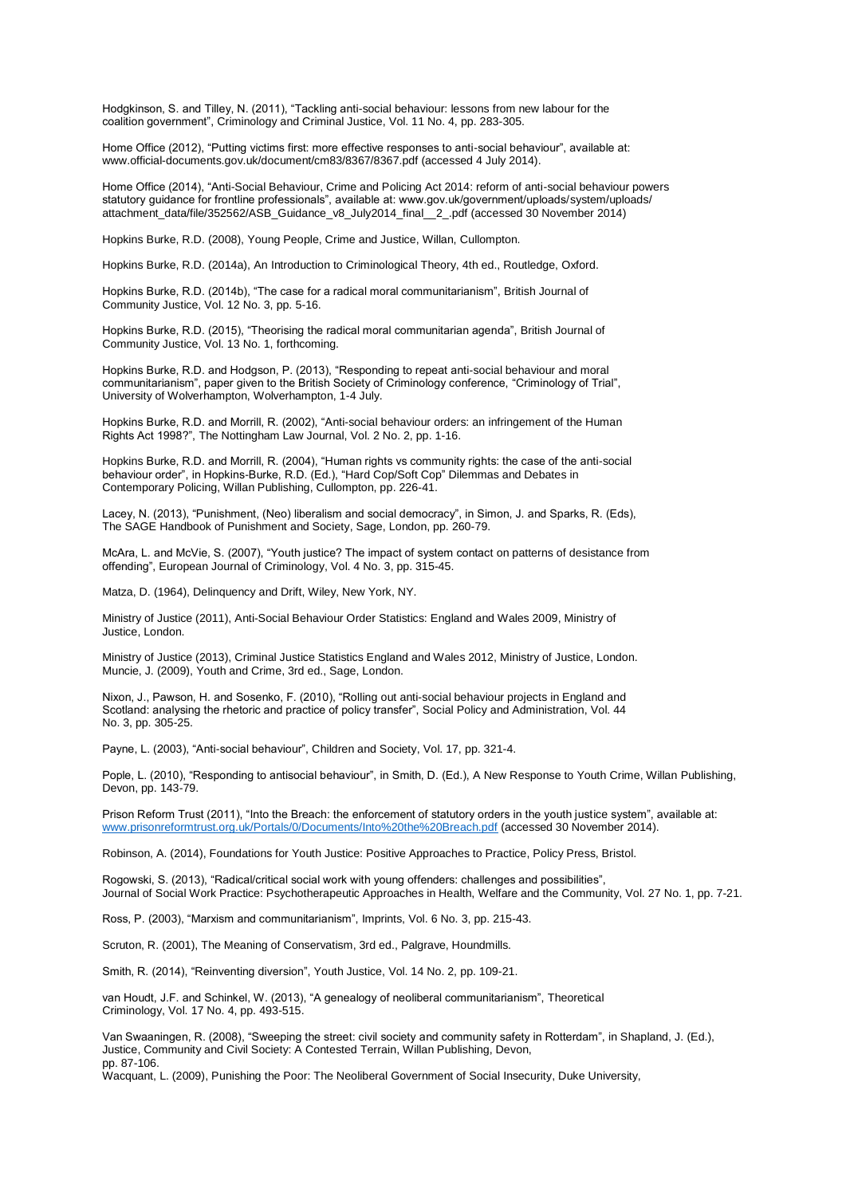Hodgkinson, S. and Tilley, N. (2011), "Tackling anti-social behaviour: lessons from new labour for the coalition government", Criminology and Criminal Justice, Vol. 11 No. 4, pp. 283-305.

Home Office (2012), "Putting victims first: more effective responses to anti-social behaviour", available at: www.official-documents.gov.uk/document/cm83/8367/8367.pdf (accessed 4 July 2014).

Home Office (2014), "Anti-Social Behaviour, Crime and Policing Act 2014: reform of anti-social behaviour powers statutory guidance for frontline professionals", available at: www.gov.uk/government/uploads/system/uploads/ attachment\_data/file/352562/ASB\_Guidance\_v8\_July2014\_final\_\_2\_.pdf (accessed 30 November 2014)

Hopkins Burke, R.D. (2008), Young People, Crime and Justice, Willan, Cullompton.

Hopkins Burke, R.D. (2014a), An Introduction to Criminological Theory, 4th ed., Routledge, Oxford.

Hopkins Burke, R.D. (2014b), "The case for a radical moral communitarianism", British Journal of Community Justice, Vol. 12 No. 3, pp. 5-16.

Hopkins Burke, R.D. (2015), "Theorising the radical moral communitarian agenda", British Journal of Community Justice, Vol. 13 No. 1, forthcoming.

Hopkins Burke, R.D. and Hodgson, P. (2013), "Responding to repeat anti-social behaviour and moral communitarianism", paper given to the British Society of Criminology conference, "Criminology of Trial", University of Wolverhampton, Wolverhampton, 1-4 July.

Hopkins Burke, R.D. and Morrill, R. (2002), "Anti-social behaviour orders: an infringement of the Human Rights Act 1998?", The Nottingham Law Journal, Vol. 2 No. 2, pp. 1-16.

Hopkins Burke, R.D. and Morrill, R. (2004), "Human rights vs community rights: the case of the anti-social behaviour order", in Hopkins-Burke, R.D. (Ed.), "Hard Cop/Soft Cop" Dilemmas and Debates in Contemporary Policing, Willan Publishing, Cullompton, pp. 226-41.

Lacey, N. (2013), "Punishment, (Neo) liberalism and social democracy", in Simon, J. and Sparks, R. (Eds), The SAGE Handbook of Punishment and Society, Sage, London, pp. 260-79.

McAra, L. and McVie, S. (2007), "Youth justice? The impact of system contact on patterns of desistance from offending", European Journal of Criminology, Vol. 4 No. 3, pp. 315-45.

Matza, D. (1964), Delinquency and Drift, Wiley, New York, NY.

Ministry of Justice (2011), Anti-Social Behaviour Order Statistics: England and Wales 2009, Ministry of Justice, London.

Ministry of Justice (2013), Criminal Justice Statistics England and Wales 2012, Ministry of Justice, London. Muncie, J. (2009), Youth and Crime, 3rd ed., Sage, London.

Nixon, J., Pawson, H. and Sosenko, F. (2010), "Rolling out anti-social behaviour projects in England and Scotland: analysing the rhetoric and practice of policy transfer", Social Policy and Administration, Vol. 44 No. 3, pp. 305-25.

Payne, L. (2003), "Anti-social behaviour", Children and Society, Vol. 17, pp. 321-4.

Pople, L. (2010), "Responding to antisocial behaviour", in Smith, D. (Ed.), A New Response to Youth Crime, Willan Publishing, Devon, pp. 143-79.

Prison Reform Trust (2011), "Into the Breach: the enforcement of statutory orders in the youth justice system", available at: [www.prisonreformtrust.org.uk/Portals/0/Documents/Into%20the%20Breach.pdf](http://www.prisonreformtrust.org.uk/Portals/0/Documents/Into%20the%20Breach.pdf) (accessed 30 November 2014).

Robinson, A. (2014), Foundations for Youth Justice: Positive Approaches to Practice, Policy Press, Bristol.

Rogowski, S. (2013), "Radical/critical social work with young offenders: challenges and possibilities", Journal of Social Work Practice: Psychotherapeutic Approaches in Health, Welfare and the Community, Vol. 27 No. 1, pp. 7-21.

Ross, P. (2003), "Marxism and communitarianism", Imprints, Vol. 6 No. 3, pp. 215-43.

Scruton, R. (2001), The Meaning of Conservatism, 3rd ed., Palgrave, Houndmills.

Smith, R. (2014), "Reinventing diversion", Youth Justice, Vol. 14 No. 2, pp. 109-21.

van Houdt, J.F. and Schinkel, W. (2013), "A genealogy of neoliberal communitarianism", Theoretical Criminology, Vol. 17 No. 4, pp. 493-515.

Van Swaaningen, R. (2008), "Sweeping the street: civil society and community safety in Rotterdam", in Shapland, J. (Ed.), Justice, Community and Civil Society: A Contested Terrain, Willan Publishing, Devon, pp. 87-106.

Wacquant, L. (2009), Punishing the Poor: The Neoliberal Government of Social Insecurity, Duke University,